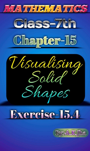

# Exercise-15.4

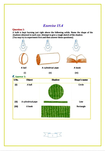# Exercise 15.4

#### **Question 1:**

A bulb is kept burning just right above the following solids. Name the shape of the shadows obtained in each case. Attempt to give a rough sketch of the shadow. (You may try to experiment first and then answer these questions).



 $(i)$ 

A ball **A** cylindrical pipe **A** book

(i) (in)

| <b>Answer 1:</b> |  |
|------------------|--|
|------------------|--|

| S.No. | <b>Object</b>      | Shadow | <b>Shape's name</b> |
|-------|--------------------|--------|---------------------|
| (i)   | A ball             |        | Circle              |
| (ii)  | A cylindrical pipe |        | Line                |
| (iii) | A book             |        | Rectangle           |

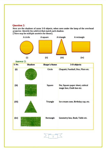#### Question 2:

Here are the shadows of some 3-D objects, when seen under the lamp of the overhead projector. Identify the solid (s) that match each shadow. (There may be multiple answers for these!)